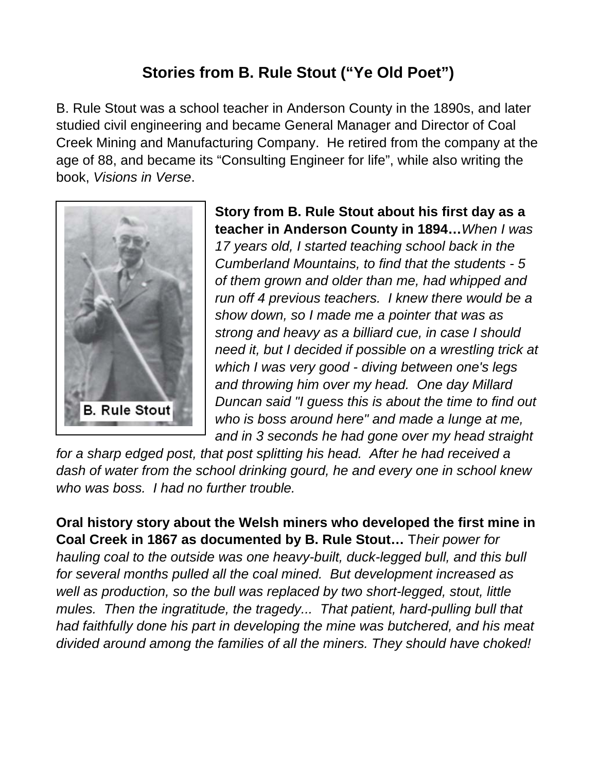## **Stories from B. Rule Stout ("Ye Old Poet")**

B. Rule Stout was a school teacher in Anderson County in the 1890s, and later studied civil engineering and became General Manager and Director of Coal Creek Mining and Manufacturing Company. He retired from the company at the age of 88, and became its "Consulting Engineer for life", while also writing the book, *Visions in Verse*.



**Story from B. Rule Stout about his first day as a teacher in Anderson County in 1894…***When I was 17 years old, I started teaching school back in the Cumberland Mountains, to find that the students - 5 of them grown and older than me, had whipped and run off 4 previous teachers. I knew there would be a show down, so I made me a pointer that was as strong and heavy as a billiard cue, in case I should need it, but I decided if possible on a wrestling trick at which I was very good - diving between one's legs and throwing him over my head. One day Millard Duncan said "I guess this is about the time to find out who is boss around here" and made a lunge at me, and in 3 seconds he had gone over my head straight* 

*for a sharp edged post, that post splitting his head. After he had received a dash of water from the school drinking gourd, he and every one in school knew who was boss. I had no further trouble.* 

**Oral history story about the Welsh miners who developed the first mine in Coal Creek in 1867 as documented by B. Rule Stout…** T*heir power for hauling coal to the outside was one heavy-built, duck-legged bull, and this bull for several months pulled all the coal mined. But development increased as well as production, so the bull was replaced by two short-legged, stout, little mules. Then the ingratitude, the tragedy... That patient, hard-pulling bull that had faithfully done his part in developing the mine was butchered, and his meat divided around among the families of all the miners. They should have choked!*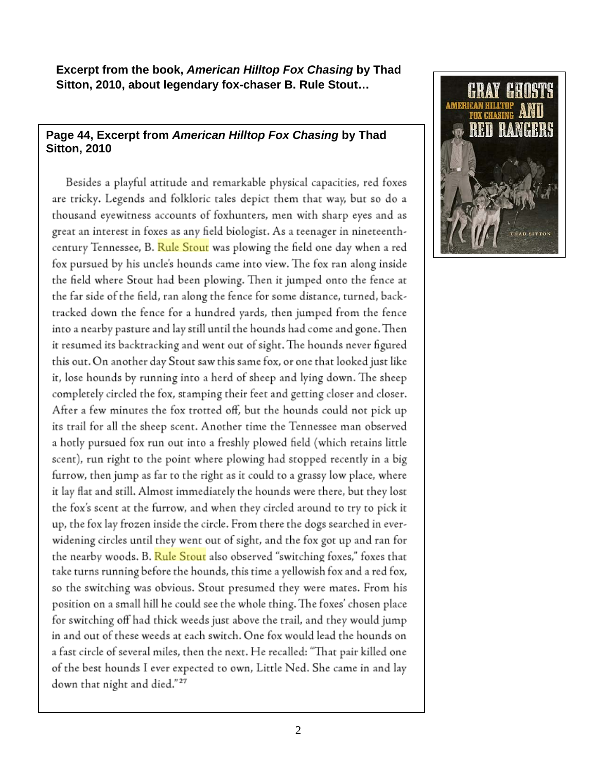**Excerpt from the book,** *American Hilltop Fox Chasing* **by Thad Sitton, 2010, about legendary fox-chaser B. Rule Stout…** 

## **Page 44, Excerpt from** *American Hilltop Fox Chasing* **by Thad Sitton, 2010**

Besides a playful attitude and remarkable physical capacities, red foxes are tricky. Legends and folkloric tales depict them that way, but so do a thousand eyewitness accounts of foxhunters, men with sharp eyes and as great an interest in foxes as any field biologist. As a teenager in nineteenthcentury Tennessee, B. Rule Stout was plowing the field one day when a red fox pursued by his uncle's hounds came into view. The fox ran along inside the field where Stout had been plowing. Then it jumped onto the fence at the far side of the field, ran along the fence for some distance, turned, backtracked down the fence for a hundred yards, then jumped from the fence into a nearby pasture and lay still until the hounds had come and gone. Then it resumed its backtracking and went out of sight. The hounds never figured this out. On another day Stout saw this same fox, or one that looked just like it, lose hounds by running into a herd of sheep and lying down. The sheep completely circled the fox, stamping their feet and getting closer and closer. After a few minutes the fox trotted off, but the hounds could not pick up its trail for all the sheep scent. Another time the Tennessee man observed a hotly pursued fox run out into a freshly plowed field (which retains little scent), run right to the point where plowing had stopped recently in a big furrow, then jump as far to the right as it could to a grassy low place, where it lay flat and still. Almost immediately the hounds were there, but they lost the fox's scent at the furrow, and when they circled around to try to pick it up, the fox lay frozen inside the circle. From there the dogs searched in everwidening circles until they went out of sight, and the fox got up and ran for the nearby woods. B. Rule Stout also observed "switching foxes," foxes that take turns running before the hounds, this time a yellowish fox and a red fox, so the switching was obvious. Stout presumed they were mates. From his position on a small hill he could see the whole thing. The foxes' chosen place for switching off had thick weeds just above the trail, and they would jump in and out of these weeds at each switch. One fox would lead the hounds on a fast circle of several miles, then the next. He recalled: "That pair killed one of the best hounds I ever expected to own, Little Ned. She came in and lay down that night and died."<sup>27</sup>